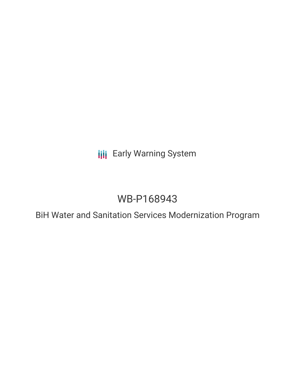**III** Early Warning System

# WB-P168943

BiH Water and Sanitation Services Modernization Program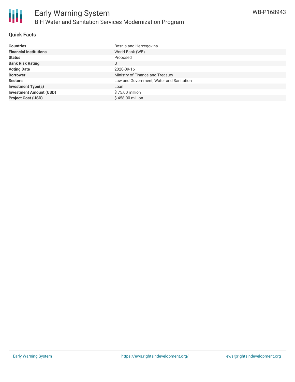

## **Quick Facts**

| <b>Countries</b>               | Bosnia and Herzegovina                   |
|--------------------------------|------------------------------------------|
| <b>Financial Institutions</b>  | World Bank (WB)                          |
| <b>Status</b>                  | Proposed                                 |
| <b>Bank Risk Rating</b>        | U                                        |
| <b>Voting Date</b>             | 2020-09-16                               |
| <b>Borrower</b>                | Ministry of Finance and Treasury         |
| <b>Sectors</b>                 | Law and Government, Water and Sanitation |
| <b>Investment Type(s)</b>      | Loan                                     |
| <b>Investment Amount (USD)</b> | \$75.00 million                          |
| <b>Project Cost (USD)</b>      | \$458.00 million                         |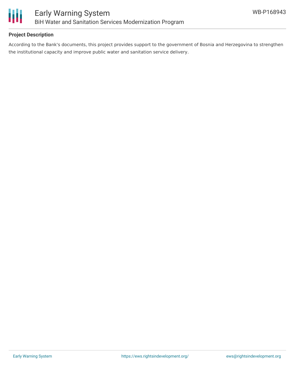

## **Project Description**

According to the Bank's documents, this project provides support to the government of Bosnia and Herzegovina to strengthen the institutional capacity and improve public water and sanitation service delivery.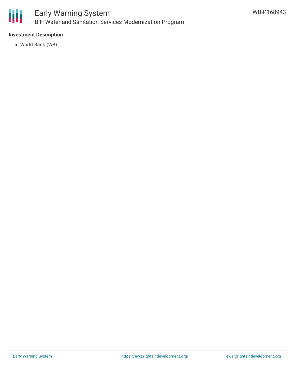

## **Investment Description**

World Bank (WB)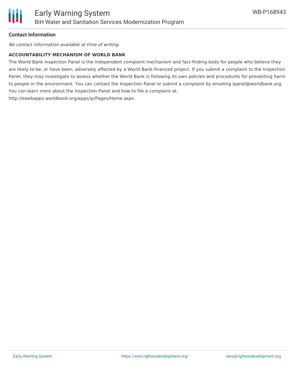## **Contact Information**

No contact information available at time of writing.

#### **ACCOUNTABILITY MECHANISM OF WORLD BANK**

The World Bank Inspection Panel is the independent complaint mechanism and fact-finding body for people who believe they are likely to be, or have been, adversely affected by a World Bank-financed project. If you submit a complaint to the Inspection Panel, they may investigate to assess whether the World Bank is following its own policies and procedures for preventing harm to people or the environment. You can contact the Inspection Panel or submit a complaint by emailing ipanel@worldbank.org. You can learn more about the Inspection Panel and how to file a complaint at: http://ewebapps.worldbank.org/apps/ip/Pages/Home.aspx.